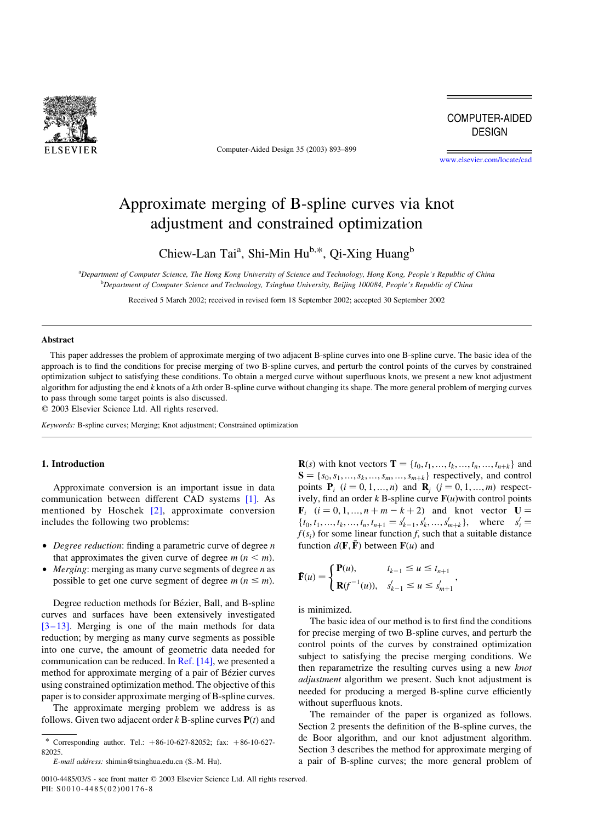

Computer-Aided Design 35 (2003) 893–899

**COMPUTER-AIDED DESIGN** 

[www.elsevier.com/locate/cad](http://www.elsevier.com/locate/cad)

# Approximate merging of B-spline curves via knot adjustment and constrained optimization

Chiew-Lan Tai<sup>a</sup>, Shi-Min Hu<sup>b,\*</sup>, Qi-Xing Huang<sup>b</sup>

a Department of Computer Science, The Hong Kong University of Science and Technology, Hong Kong, People's Republic of China b Department of Computer Science and Technology, Tsinghua University, Beijing 100084, People's Republic of China

Received 5 March 2002; received in revised form 18 September 2002; accepted 30 September 2002

# Abstract

This paper addresses the problem of approximate merging of two adjacent B-spline curves into one B-spline curve. The basic idea of the approach is to find the conditions for precise merging of two B-spline curves, and perturb the control points of the curves by constrained optimization subject to satisfying these conditions. To obtain a merged curve without superfluous knots, we present a new knot adjustment algorithm for adjusting the end k knots of a kth order B-spline curve without changing its shape. The more general problem of merging curves to pass through some target points is also discussed.

 $©$  2003 Elsevier Science Ltd. All rights reserved.

Keywords: B-spline curves; Merging; Knot adjustment; Constrained optimization

# 1. Introduction

Approximate conversion is an important issue in data communication between different CAD systems [\[1\].](#page-6-0) As mentioned by Hoschek [\[2\],](#page-6-0) approximate conversion includes the following two problems:

- $\bullet$  *Degree reduction*: finding a parametric curve of degree n that approximates the given curve of degree  $m (n \le m)$ .
- *Merging*: merging as many curve segments of degree  $n$  as possible to get one curve segment of degree  $m (n \le m)$ .

Degree reduction methods for Bézier, Ball, and B-spline curves and surfaces have been extensively investigated [\[3–13\]](#page-6-0). Merging is one of the main methods for data reduction; by merging as many curve segments as possible into one curve, the amount of geometric data needed for communication can be reduced. In [Ref. \[14\],](#page-6-0) we presented a method for approximate merging of a pair of Bézier curves using constrained optimization method. The objective of this paper is to consider approximate merging of B-spline curves.

The approximate merging problem we address is as follows. Given two adjacent order  $k$  B-spline curves  $P(t)$  and

0010-4485/03/\$ - see front matter © 2003 Elsevier Science Ltd. All rights reserved. PII:  $S0010 - 4485(02)00176 - 8$ 

**R**(s) with knot vectors  $T = \{t_0, t_1, ..., t_k, ..., t_n, ..., t_{n+k}\}\$ and  $S = \{s_0, s_1, \ldots, s_k, \ldots, s_m, \ldots, s_{m+k}\}\;$  respectively, and control points  $P_i$   $(i = 0, 1, ..., n)$  and  $R_i$   $(j = 0, 1, ..., m)$  respectively, find an order k B-spline curve  $F(u)$  with control points  ${\bf F}_i$   $(i = 0, 1, ..., n + m - k + 2)$  and knot vector  ${\bf U} =$  $\{t_0, t_1, \ldots, t_k, \ldots, t_n, t_{n+1} = s'_{k-1}, s'_k, \ldots, s'_{m+k}\}, \text{ where } s'_i =$  $f(s<sub>i</sub>)$  for some linear function f, such that a suitable distance function  $d(\mathbf{F}, \mathbf{F})$  between  $\mathbf{F}(u)$  and

;

$$
\bar{\mathbf{F}}(u) = \begin{cases} \mathbf{P}(u), & t_{k-1} \le u \le t_{n+1} \\ \mathbf{R}(f^{-1}(u)), & s'_{k-1} \le u \le s'_{m+1} \end{cases}
$$

is minimized.

The basic idea of our method is to first find the conditions for precise merging of two B-spline curves, and perturb the control points of the curves by constrained optimization subject to satisfying the precise merging conditions. We then reparametrize the resulting curves using a new *knot* adjustment algorithm we present. Such knot adjustment is needed for producing a merged B-spline curve efficiently without superfluous knots.

The remainder of the paper is organized as follows. Section 2 presents the definition of the B-spline curves, the de Boor algorithm, and our knot adjustment algorithm. Section 3 describes the method for approximate merging of a pair of B-spline curves; the more general problem of

<sup>\*</sup> Corresponding author. Tel.:  $+86-10-627-82052$ ; fax:  $+86-10-627-$ 82025.

E-mail address: shimin@tsinghua.edu.cn (S.-M. Hu).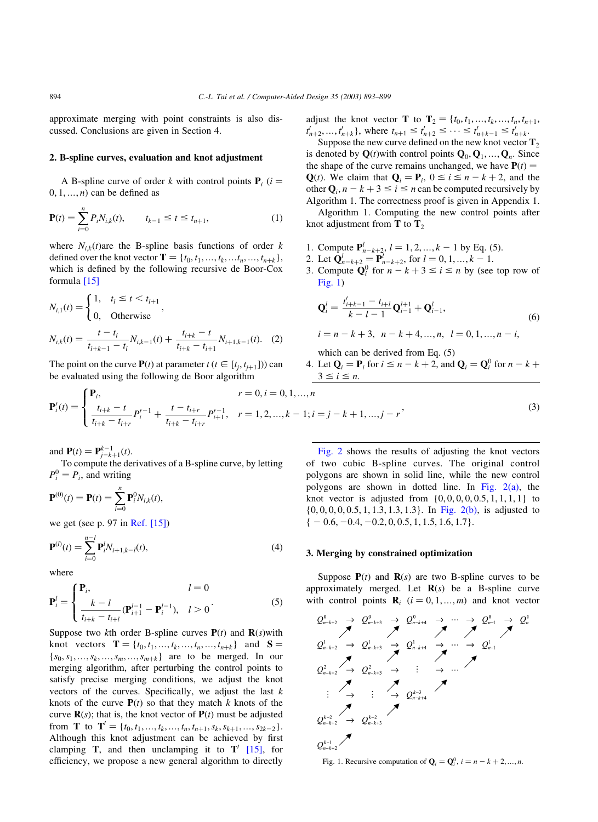approximate merging with point constraints is also discussed. Conclusions are given in Section 4.

## 2. B-spline curves, evaluation and knot adjustment

A B-spline curve of order k with control points  $P_i$  (*i* =  $0, 1, \ldots, n$  can be defined as

$$
\mathbf{P}(t) = \sum_{i=0}^{n} P_i N_{i,k}(t), \qquad t_{k-1} \le t \le t_{n+1}, \tag{1}
$$

where  $N_{i,k}(t)$  are the B-spline basis functions of order k defined over the knot vector  $\mathbf{T} = \{t_0, t_1, ..., t_k, ..., t_{n+k}\},\$ which is defined by the following recursive de Boor-Cox formula [\[15\]](#page-6-0)

$$
N_{i,1}(t) = \begin{cases} 1, & t_i \le t < t_{i+1} \\ 0, & \text{Otherwise} \end{cases},
$$
  

$$
N_{i,k}(t) = \frac{t - t_i}{t_{i+k-1} - t_i} N_{i,k-1}(t) + \frac{t_{i+k} - t}{t_{i+k} - t_{i+1}} N_{i+1,k-1}(t). \quad (2)
$$

The point on the curve  $P(t)$  at parameter  $t$  ( $t \in [t_i, t_{i+1}]$ ) can be evaluated using the following de Boor algorithm

adjust the knot vector **T** to  $T_2 = \{t_0, t_1, ..., t_k, ..., t_n, t_{n+1},$  $t'_{n+2},..., t'_{n+k}$ , where  $t_{n+1} \leq t'_{n+2} \leq ... \leq t'_{n+k-1} \leq t'_{n+k}$ .

Suppose the new curve defined on the new knot vector  $T_2$ is denoted by  $\mathbf{Q}(t)$  with control points  $\mathbf{Q}_0, \mathbf{Q}_1, \dots, \mathbf{Q}_n$ . Since the shape of the curve remains unchanged, we have  $P(t) =$ Q(*t*). We claim that  $Q_i = P_i$ ,  $0 \le i \le n - k + 2$ , and the other  $\mathbf{Q}_i$ ,  $n - k + 3 \le i \le n$  can be computed recursively by Algorithm 1. The correctness proof is given in Appendix 1.

Algorithm 1. Computing the new control points after knot adjustment from  $T$  to  $T_2$ 

- 1. Compute  $\mathbf{P}_{n-k+2}^l$ ,  $l = 1, 2, ..., k-1$  by Eq. (5).
- 2. Let  $\mathbf{Q}_{n-k+2}^{l} = \mathbf{P}_{n-k+2}^{l}$ , for  $l = 0, 1, ..., k-1$ .
- 3. Compute  $\mathbf{Q}_i^0$  for  $n k + 3 \le i \le n$  by (see top row of Fig. 1)

$$
\mathbf{Q}_{i}^{l} = \frac{t'_{i+k-1} - t_{i+l}}{k-l-1} \mathbf{Q}_{i-1}^{l+1} + \mathbf{Q}_{i-1}^{l},
$$
  
\n
$$
i = n - k + 3, \quad n - k + 4, ..., n, \quad l = 0, 1, ..., n - i,
$$
\n(6)

which can be derived from Eq. (5)

4. Let  $\mathbf{Q}_i = \mathbf{P}_i$  for  $i \le n - k + 2$ , and  $\mathbf{Q}_i = \mathbf{Q}_i^0$  for  $n - k + 1$  $3 \leq i \leq n$ .

$$
\mathbf{P}_i^r(t) = \begin{cases} \mathbf{P}_i, & r = 0, i = 0, 1, ..., n \\ \frac{t_{i+k} - t}{t_{i+k} - t_{i+r}} P_i^{r-1} + \frac{t - t_{i+r}}{t_{i+k} - t_{i+r}} P_{i+1}^{r-1}, & r = 1, 2, ..., k - 1; i = j - k + 1, ..., j - r \end{cases}
$$
(3)

and  $P(t) = P_{j-k+1}^{k-1}(t)$ .

To compute the derivatives of a B-spline curve, by letting  $P_i^0 = P_i$ , and writing

$$
\mathbf{P}^{(0)}(t) = \mathbf{P}(t) = \sum_{i=0}^{n} \mathbf{P}_{i}^{0} N_{i,k}(t),
$$

we get (see p. 97 in [Ref. \[15\]](#page-6-0))

$$
\mathbf{P}^{(l)}(t) = \sum_{i=0}^{n-l} \mathbf{P}_i^l N_{i+1,k-l}(t),
$$
\n(4)

where

$$
\mathbf{P}_{i}^{l} = \begin{cases} \mathbf{P}_{i}, & l = 0\\ \frac{k - l}{t_{i+k} - t_{i+l}} (\mathbf{P}_{i+1}^{l-1} - \mathbf{P}_{i}^{l-1}), & l > 0 \end{cases}
$$
(5)

Suppose two kth order B-spline curves  $P(t)$  and  $R(s)$  with knot vectors  $\mathbf{T} = \{t_0, t_1, ..., t_k, ..., t_n, ..., t_{n+k}\}\$ and  $\mathbf{S} =$  ${s_0, s_1, ..., s_k, ..., s_m, ..., s_{m+k}}$  are to be merged. In our merging algorithm, after perturbing the control points to satisfy precise merging conditions, we adjust the knot vectors of the curves. Specifically, we adjust the last  $k$ knots of the curve  $P(t)$  so that they match k knots of the curve  $\mathbf{R}(s)$ ; that is, the knot vector of  $\mathbf{P}(t)$  must be adjusted from **T** to **T**<sup> $'$ </sup> = { $t_0, t_1, ..., t_k, ..., t_n, t_{n+1}, s_k, s_{k+1}, ..., s_{2k-2}$ }. Although this knot adjustment can be achieved by first clamping T, and then unclamping it to  $T'$  [\[15\],](#page-6-0) for efficiency, we propose a new general algorithm to directly

[Fig. 2](#page-2-0) shows the results of adjusting the knot vectors of two cubic B-spline curves. The original control polygons are shown in solid line, while the new control polygons are shown in dotted line. In Fig.  $2(a)$ , the knot vector is adjusted from  $\{0, 0, 0, 0, 0.5, 1, 1, 1, 1\}$  to {0; 0; 0; 0; 0:5; 1; 1:3; 1:3; 1:3}: In [Fig. 2\(b\),](#page-2-0) is adjusted to  $\{-0.6, -0.4, -0.2, 0, 0.5, 1, 1.5, 1.6, 1.7\}.$ 

### 3. Merging by constrained optimization

Suppose  $P(t)$  and  $R(s)$  are two B-spline curves to be approximately merged. Let  $\mathbf{R}(s)$  be a B-spline curve with control points  $\mathbf{R}_i$   $(i = 0, 1, ..., m)$  and knot vector

$$
Q_{n-k+2}^{0} \rightarrow Q_{n-k+3}^{0} \rightarrow Q_{n-k+4}^{0} \rightarrow \cdots \rightarrow Q_{n}^{0}
$$
\n
$$
Q_{n-k+2}^{1} \rightarrow Q_{n-k+3}^{1} \rightarrow Q_{n-k+4}^{1} \rightarrow \cdots \rightarrow Q_{n-1}^{1}
$$
\n
$$
Q_{n-k+2}^{2} \rightarrow Q_{n-k+3}^{2} \rightarrow \vdots \rightarrow \cdots
$$
\n
$$
\vdots \rightarrow \vdots \rightarrow Q_{n-k+4}^{k-2}
$$
\n
$$
Q_{n-k+2}^{k-2} \rightarrow Q_{n-k+3}^{k-2}
$$
\n
$$
Q_{n-k+2}^{k-2}
$$
\n
$$
Q_{n-k+2}^{k-2}
$$
\n
$$
Q_{n-k+3}^{k-1}
$$
\n
$$
Q_{n-k+2}^{k-1}
$$

Fig. 1. Recursive computation of  $\mathbf{Q}_i = \mathbf{Q}_i^0$ ,  $i = n - k + 2, ..., n$ .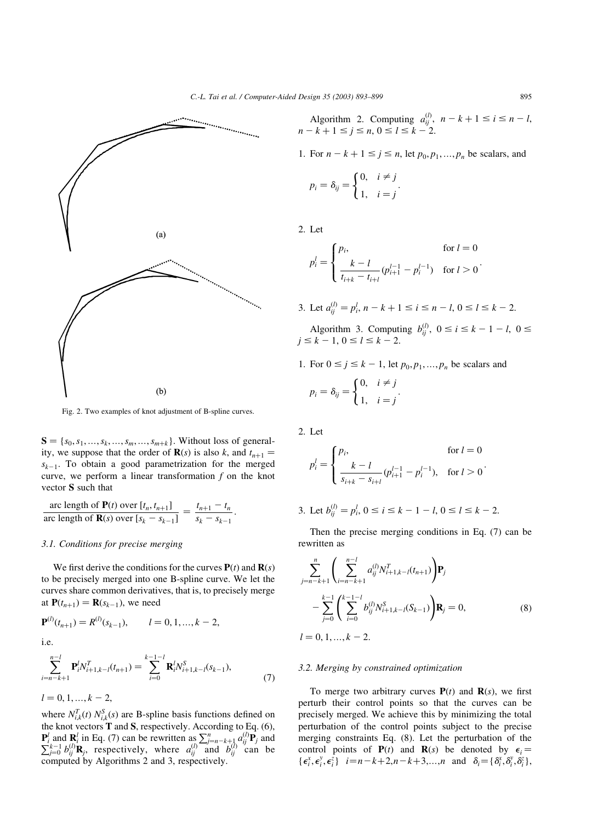<span id="page-2-0"></span>

Fig. 2. Two examples of knot adjustment of B-spline curves.

 $S = \{s_0, s_1, ..., s_k, ..., s_m, ..., s_{m+k}\}\$ . Without loss of generality, we suppose that the order of **R**(s) is also k, and  $t_{n+1}$  =  $s_{k-1}$ . To obtain a good parametrization for the merged curve, we perform a linear transformation  $f$  on the knot vector S such that

$$
\frac{\text{arc length of } \mathbf{P}(t) \text{ over } [t_n, t_{n+1}]}{\text{arc length of } \mathbf{R}(s) \text{ over } [s_k - s_{k-1}]} = \frac{t_{n+1} - t_n}{s_k - s_{k-1}}.
$$

#### 3.1. Conditions for precise merging

We first derive the conditions for the curves  $P(t)$  and  $R(s)$ to be precisely merged into one B-spline curve. We let the curves share common derivatives, that is, to precisely merge at  $P(t_{n+1}) = R(s_{k-1})$ , we need

$$
\mathbf{P}^{(l)}(t_{n+1}) = R^{(l)}(s_{k-1}), \qquad l = 0, 1, ..., k-2,
$$
  
i.e.

$$
\sum_{i=n-k+1}^{n-l} \mathbf{P}_i^l N_{i+1,k-l}^T(t_{n+1}) = \sum_{i=0}^{k-1-l} \mathbf{R}_i^l N_{i+1,k-l}^S(s_{k-1}),
$$
  
\n
$$
l = 0, 1, ..., k-2,
$$
\n(7)

where  $N_{i,k}^T(t) N_{i,k}^S(s)$  are B-spline basis functions defined on the knot vectors  $\mathbf T$  and  $\mathbf S$ , respectively. According to Eq. (6),  $\mathbf{P}_i^l$  and  $\mathbf{R}_i^l$  in Eq. (7) can be rewritten as  $\sum_{j=n-k+1}^{n} a_{ij}^{(l)} \mathbf{P}_j$  and  $\sum_{j=0}^{k-1} b_{ij}^{(l)} \mathbf{R}_j$ , respectively, where  $a_{ij}^{(l)}$  and  $b_{ij}^{(l)}$  can be computed by Algorithms 2 and 3, respectively.

Algorithm 2. Computing  $a_{ij}^{(l)}$ ,  $n - k + 1 \le i \le n - l$ ,  $n - k + 1 \le j \le n, 0 \le l \le k - 2.$ 

1. For  $n - k + 1 \le j \le n$ , let  $p_0, p_1, ..., p_n$  be scalars, and

$$
p_i = \delta_{ij} = \begin{cases} 0, & i \neq j \\ 1, & i = j \end{cases}.
$$

2. Let

$$
p_i^l = \begin{cases} p_i, & \text{for } l = 0\\ \frac{k - l}{t_{i+k} - t_{i+l}} (p_{i+1}^{l-1} - p_i^{l-1}) & \text{for } l > 0 \end{cases}.
$$

3. Let  $a_{ij}^{(l)} = p_i^l$ ,  $n - k + 1 \le i \le n - l$ ,  $0 \le l \le k - 2$ .

Algorithm 3. Computing  $b_{ij}^{(l)}$ ,  $0 \le i \le k - 1 - l$ ,  $0 \le$  $j \le k - 1, 0 \le l \le k - 2.$ 

1. For 
$$
0 \le j \le k - 1
$$
, let  $p_0, p_1, \ldots, p_n$  be scalars and

$$
p_i = \delta_{ij} = \begin{cases} 0, & i \neq j \\ 1, & i = j \end{cases}.
$$

2. Let

$$
p_i^l = \begin{cases} p_i, & \text{for } l = 0\\ \frac{k - l}{s_{i+k} - s_{i+l}} (p_{i+1}^{l-1} - p_i^{l-1}), & \text{for } l > 0 \end{cases}.
$$

3. Let 
$$
b_{ij}^{(l)} = p_i^l
$$
,  $0 \le i \le k - 1 - l$ ,  $0 \le l \le k - 2$ .

Then the precise merging conditions in Eq. (7) can be rewritten as

$$
\sum_{j=n-k+1}^{n} \left( \sum_{i=n-k+1}^{n-l} a_{ij}^{(l)} N_{i+1,k-l}^{T} (t_{n+1}) \right) \mathbf{P}_{j}
$$
  
 
$$
- \sum_{j=0}^{k-1} \left( \sum_{i=0}^{k-1-l} b_{ij}^{(l)} N_{i+1,k-l}^{S} (S_{k-1}) \right) \mathbf{R}_{j} = 0,
$$
  
  $l = 0, 1, ..., k-2.$  (8)

# 3.2. Merging by constrained optimization

To merge two arbitrary curves  $P(t)$  and  $R(s)$ , we first perturb their control points so that the curves can be precisely merged. We achieve this by minimizing the total perturbation of the control points subject to the precise merging constraints Eq. (8). Let the perturbation of the control points of  $P(t)$  and  $R(s)$  be denoted by  $\epsilon_i =$ { $\epsilon_i^x, \epsilon_i^y, \epsilon_i^z$ }  $i=n-k+2, n-k+3,...,n$  and  $\delta_i = {\delta_i^x, \delta_i^y, \delta_i^z}$ },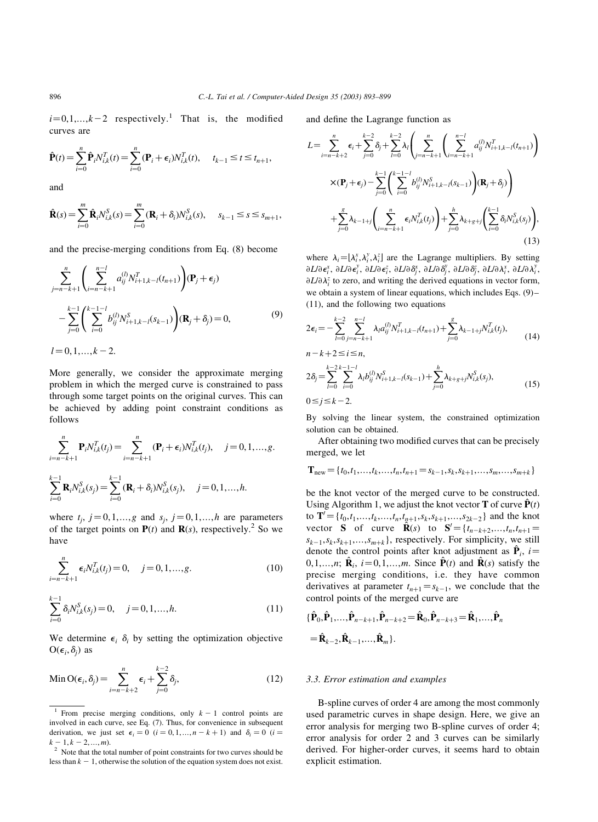$i=0,1,...,k-2$  respectively.<sup>1</sup> That is, the modified curves are

$$
\hat{\mathbf{P}}(t) = \sum_{i=0}^{n} \hat{\mathbf{P}}_{i} N_{i,k}^{T}(t) = \sum_{i=0}^{n} (\mathbf{P}_{i} + \epsilon_{i}) N_{i,k}^{T}(t), \quad t_{k-1} \le t \le t_{n+1},
$$

and

$$
\hat{\mathbf{R}}(s) = \sum_{i=0}^{m} \hat{\mathbf{R}}_i N_{i,k}^S(s) = \sum_{i=0}^{m} (\mathbf{R}_i + \delta_i) N_{i,k}^S(s), \quad s_{k-1} \le s \le s_{m+1},
$$

and the precise-merging conditions from Eq. (8) become

$$
\sum_{j=n-k+1}^{n} \left( \sum_{i=n-k+1}^{n-1} a_{ij}^{(l)} N_{i+1,k-l}^{T}(t_{n+1}) \right) (\mathbf{P}_j + \epsilon_j)
$$
  

$$
- \sum_{j=0}^{k-1} \left( \sum_{i=0}^{k-1-l} b_{ij}^{(l)} N_{i+1,k-l}^{S}(s_{k-1}) \right) (\mathbf{R}_j + \delta_j) = 0,
$$
 (9)

 $l = 0, 1, \ldots, k - 2.$ 

More generally, we consider the approximate merging problem in which the merged curve is constrained to pass through some target points on the original curves. This can be achieved by adding point constraint conditions as follows

$$
\sum_{i=n-k+1}^{n} \mathbf{P}_{i} N_{i,k}^{T}(t_{j}) = \sum_{i=n-k+1}^{n} (\mathbf{P}_{i} + \epsilon_{i}) N_{i,k}^{T}(t_{j}), \quad j = 0, 1, ..., g.
$$
  

$$
\sum_{i=0}^{k-1} \mathbf{R}_{i} N_{i,k}^{S}(s_{j}) = \sum_{i=0}^{k-1} (\mathbf{R}_{i} + \delta_{i}) N_{i,k}^{S}(s_{j}), \quad j = 0, 1, ..., h.
$$

where  $t_i$ ,  $j = 0,1,...,g$  and  $s_i$ ,  $j = 0,1,...,h$  are parameters of the target points on  $P(t)$  and  $R(s)$ , respectively.<sup>2</sup> So we have

$$
\sum_{i=n-k+1}^{n} \epsilon_i N_{i,k}^T(t_j) = 0, \quad j = 0, 1, ..., g.
$$
 (10)

$$
\sum_{i=0}^{k-1} \delta_i N_{i,k}^S(s_j) = 0, \quad j = 0, 1, \dots, h.
$$
 (11)

We determine  $\epsilon_i$   $\delta_i$  by setting the optimization objective  $O(\epsilon_i, \delta_i)$  as

Min 
$$
O(\epsilon_i, \delta_j) = \sum_{i=n-k+2}^n \epsilon_i + \sum_{j=0}^{k-2} \delta_j,
$$
 (12)

and define the Lagrange function as

$$
L = \sum_{i=n-k+2}^{n} \epsilon_{i} + \sum_{j=0}^{k-2} \delta_{j} + \sum_{l=0}^{k-2} \lambda_{l} \left( \sum_{j=n-k+1}^{n} \left( \sum_{i=n-k+1}^{n-l} a_{ij}^{(l)} N_{i+1,k-l}^{T} (t_{n+1}) \right) \times (\mathbf{P}_{j} + \epsilon_{j}) - \sum_{j=0}^{k-1} \left( \sum_{i=0}^{k-1-l} b_{ij}^{(l)} N_{i+1,k-l}^{S} (s_{k-1}) \right) (\mathbf{R}_{j} + \delta_{j}) + \sum_{j=0}^{g} \lambda_{k-1+j} \left( \sum_{i=n-k+1}^{n} \epsilon_{i} N_{i,k}^{T} (t_{j}) \right) + \sum_{j=0}^{h} \lambda_{k+g+j} \left( \sum_{i=0}^{k-1} \delta_{i} N_{i,k}^{S} (s_{j}) \right), \tag{13}
$$

where  $\lambda_i = [\lambda_i^x, \lambda_i^y, \lambda_i^z]$  are the Lagrange multipliers. By setting  $\partial L/\partial \epsilon_i^{\chi}$ ,  $\partial L/\partial \epsilon_i^{\chi}$ ,  $\partial L/\partial \epsilon_i^z$ ,  $\partial L/\partial \delta_j^{\chi}$ ,  $\partial L/\partial \delta_j^{\chi}$ ,  $\partial L/\partial \lambda_i^{\chi}$ ,  $\partial L/\partial \lambda_i^{\chi}$ ,  $\partial L/\partial \lambda_i^{\chi}$  $\partial L/\partial \lambda_i^z$  to zero, and writing the derived equations in vector form, we obtain a system of linear equations, which includes Eqs. (9)– (11), and the following two equations

$$
2\epsilon_i = -\sum_{l=0}^{k-2} \sum_{j=n-k+1}^{n-l} \lambda_l a_{ij}^{(l)} N_{i+1,k-l}^T(t_{n+1}) + \sum_{j=0}^s \lambda_{k-1+j} N_{i,k}^T(t_j),
$$
  
\n
$$
n-k+2 \le i \le n,
$$
  
\n
$$
2\delta_j = \sum_{l=0}^{k-2} \sum_{i=0}^{k-1-l} \lambda_l b_{ij}^{(l)} N_{i+1,k-l}^S(s_{k-1}) + \sum_{j=0}^h \lambda_{k+g+j} N_{i,k}^S(s_j),
$$
\n(15)

 $0 \le i \le k-2$ .

By solving the linear system, the constrained optimization solution can be obtained.

After obtaining two modified curves that can be precisely merged, we let

$$
\mathbf{T}_{\text{new}} = \{t_0, t_1, \dots, t_k, \dots, t_n, t_{n+1} = s_{k-1}, s_k, s_{k+1}, \dots, s_m, \dots, s_{m+k}\}
$$

be the knot vector of the merged curve to be constructed. Using Algorithm 1, we adjust the knot vector **T** of curve  $\hat{\mathbf{P}}(t)$ to  $\mathbf{T}' = \{t_0, t_1, \ldots, t_k, \ldots, t_n, t_{n+1}, s_k, s_{k+1}, \ldots, s_{2k-2}\}\$  and the knot vector **S** of curve  $\hat{\mathbf{R}}(s)$  to  $\mathbf{S}' = \{t_{n-k+2},...,t_n,t_{n+1} =$  $s_{k-1}, s_k, s_{k+1}, \ldots, s_{m+k}$ , respectively. For simplicity, we still denote the control points after knot adjustment as  $\hat{\mathbf{P}}_i$ , i= 0,1,...,n;  $\hat{\mathbf{R}}_i$ ,  $i = 0,1,...,m$ . Since  $\hat{\mathbf{P}}(t)$  and  $\hat{\mathbf{R}}(s)$  satisfy the precise merging conditions, i.e. they have common derivatives at parameter  $t_{n+1} = s_{k-1}$ , we conclude that the control points of the merged curve are

$$
\{\hat{\mathbf{P}}_0, \hat{\mathbf{P}}_1, ..., \hat{\mathbf{P}}_{n-k+1}, \hat{\mathbf{P}}_{n-k+2} = \hat{\mathbf{R}}_0, \hat{\mathbf{P}}_{n-k+3} = \hat{\mathbf{R}}_1, ..., \hat{\mathbf{P}}_n
$$
  
=  $\hat{\mathbf{R}}_{k-2}, \hat{\mathbf{R}}_{k-1}, ..., \hat{\mathbf{R}}_m$ .

#### 3.3. Error estimation and examples

B-spline curves of order 4 are among the most commonly used parametric curves in shape design. Here, we give an error analysis for merging two B-spline curves of order 4; error analysis for order 2 and 3 curves can be similarly derived. For higher-order curves, it seems hard to obtain explicit estimation.

<sup>&</sup>lt;sup>1</sup> From precise merging conditions, only  $k - 1$  control points are involved in each curve, see Eq. (7). Thus, for convenience in subsequent derivation, we just set  $\epsilon_i = 0$   $(i = 0, 1, ..., n - k + 1)$  and  $\delta_i = 0$   $(i = k - 1, k - 2, ..., m)$ .

 $k^2$  Note that the total number of point constraints for two curves should be less than  $k - 1$ , otherwise the solution of the equation system does not exist.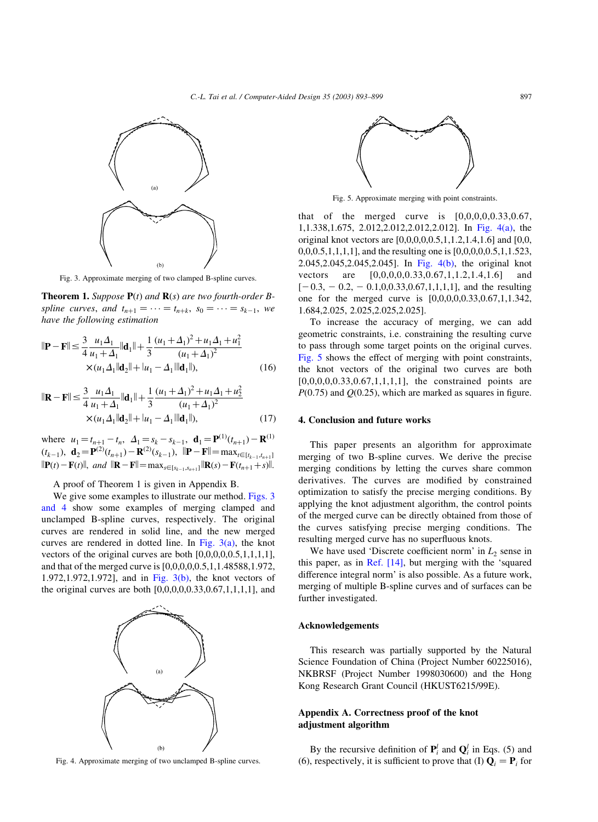

Fig. 3. Approximate merging of two clamped B-spline curves.

**Theorem 1.** Suppose  $P(t)$  and  $R(s)$  are two fourth-order Bspline curves, and  $t_{n+1} = \cdots = t_{n+k}$ ,  $s_0 = \cdots = s_{k-1}$ , we have the following estimation

$$
\|\mathbf{P} - \mathbf{F}\| \le \frac{3}{4} \frac{u_1 \Delta_1}{u_1 + \Delta_1} \|\mathbf{d}_1\| + \frac{1}{3} \frac{(u_1 + \Delta_1)^2 + u_1 \Delta_1 + u_1^2}{(u_1 + \Delta_1)^2} \times (u_1 \Delta_1 \|\mathbf{d}_2\| + |u_1 - \Delta_1| \|\mathbf{d}_1\|),
$$
 (16)

$$
\|\mathbf{R} - \mathbf{F}\| \le \frac{3}{4} \frac{u_1 \Delta_1}{u_1 + \Delta_1} \|\mathbf{d}_1\| + \frac{1}{3} \frac{(u_1 + \Delta_1)^2 + u_1 \Delta_1 + u_2^2}{(u_1 + \Delta_1)^2} \times (u_1 \Delta_1 \|\mathbf{d}_2\| + |u_1 - \Delta_1| \|\mathbf{d}_1\|),
$$
 (17)

where  $u_1 = t_{n+1} - t_n$ ,  $\Delta_1 = s_k - s_{k-1}$ ,  $\mathbf{d}_1 = \mathbf{P}^{(1)}(t_{n+1}) - \mathbf{R}^{(1)}$  $(t_{k-1}), \mathbf{d}_2 = \mathbf{P}^{(2)}(t_{n+1}) - \mathbf{R}^{(2)}(s_{k-1}), \|\mathbf{P} - \mathbf{F}\| = \max_{t \in [t_{k-1}, t_{n+1}]}$  $\|\mathbf{P}(t)-\mathbf{F}(t)\|$ , and  $\|\mathbf{R}-\mathbf{F}\|=\max_{s\in[s_{k-1},s_{n+1}]} \|\mathbf{R}(s)-\mathbf{F}(t_{n+1}+s)\|$ .

A proof of Theorem 1 is given in Appendix B.

We give some examples to illustrate our method. Figs. 3 and 4 show some examples of merging clamped and unclamped B-spline curves, respectively. The original curves are rendered in solid line, and the new merged curves are rendered in dotted line. In Fig.  $3(a)$ , the knot vectors of the original curves are both [0,0,0,0,0.5,1,1,1,1], and that of the merged curve is [0,0,0,0,0.5,1,1.48588,1.972, 1.972,1.972,1.972], and in Fig. 3(b), the knot vectors of the original curves are both  $[0,0,0,0,0.33,0.67,1,1,1,1]$ , and



Fig. 4. Approximate merging of two unclamped B-spline curves.



Fig. 5. Approximate merging with point constraints.

that of the merged curve is  $[0,0,0,0,0.33,0.67]$ , 1,1.338,1.675, 2.012,2.012,2.012,2.012]. In Fig. 4(a), the original knot vectors are [0,0,0,0,0.5,1,1.2,1.4,1.6] and [0,0, 0,0,0.5,1,1,1,1], and the resulting one is [0,0,0,0,0.5,1,1.523, 2.045,2.045,2.045,2.045]. In Fig. 4(b), the original knot vectors are [0,0,0,0,0.33,0.67,1,1.2,1.4,1.6] and  $[-0.3, -0.2, -0.1, 0, 0.33, 0.67, 1, 1, 1, 1]$ , and the resulting one for the merged curve is [0,0,0,0,0.33,0.67,1,1.342, 1.684,2.025, 2.025,2.025,2.025].

To increase the accuracy of merging, we can add geometric constraints, i.e. constraining the resulting curve to pass through some target points on the original curves. Fig. 5 shows the effect of merging with point constraints, the knot vectors of the original two curves are both  $[0,0,0,0,0.33,0.67,1,1,1,1]$ , the constrained points are  $P(0.75)$  and  $Q(0.25)$ , which are marked as squares in figure.

# 4. Conclusion and future works

This paper presents an algorithm for approximate merging of two B-spline curves. We derive the precise merging conditions by letting the curves share common derivatives. The curves are modified by constrained optimization to satisfy the precise merging conditions. By applying the knot adjustment algorithm, the control points of the merged curve can be directly obtained from those of the curves satisfying precise merging conditions. The resulting merged curve has no superfluous knots.

We have used 'Discrete coefficient norm' in  $L_2$  sense in this paper, as in [Ref. \[14\],](#page-6-0) but merging with the 'squared difference integral norm' is also possible. As a future work, merging of multiple B-spline curves and of surfaces can be further investigated.

## Acknowledgements

This research was partially supported by the Natural Science Foundation of China (Project Number 60225016), NKBRSF (Project Number 1998030600) and the Hong Kong Research Grant Council (HKUST6215/99E).

# Appendix A. Correctness proof of the knot adjustment algorithm

By the recursive definition of  $P_i^l$  and  $Q_i^l$  in Eqs. (5) and (6), respectively, it is sufficient to prove that (I)  $\mathbf{Q}_i = \mathbf{P}_i$  for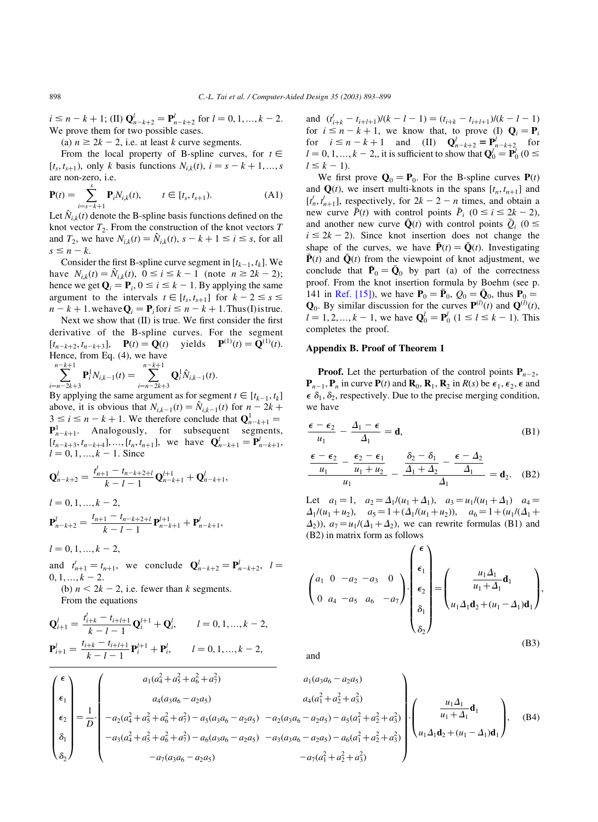$i \le n - k + 1$ ; (II)  $\mathbf{Q}_{n-k+2}^l = \mathbf{P}_{n-k+2}^l$  for  $l = 0, 1, ..., k - 2$ . We prove them for two possible cases.

(a)  $n \ge 2k - 2$ , i.e. at least k curve segments.

From the local property of B-spline curves, for  $t \in$  $[t_s, t_{s+1})$ , only k basis functions  $N_{ik}(t)$ ,  $i = s - k + 1, ..., s$ are non-zero, i.e.

$$
\mathbf{P}(t) = \sum_{i=s-k+1}^{s} \mathbf{P}_{i} N_{i,k}(t), \qquad t \in [t_{s}, t_{s+1}).
$$
 (A1)

Let  $N_{ik}(t)$  denote the B-spline basis functions defined on the knot vector  $T_2$ . From the construction of the knot vectors  $T$ and  $T_2$ , we have  $N_{i,k}(t) = \hat{N}_{i,k}(t)$ ,  $s - k + 1 \le i \le s$ , for all  $s \leq n - k.$ 

Consider the first B-spline curve segment in  $[t_{k-1}, t_k]$ . We have  $N_{i,k}(t) = \hat{N}_{i,k}(t)$ ,  $0 \le i \le k - 1$  (note  $n \ge 2k - 2$ ); hence we get  $\mathbf{Q}_i = \mathbf{P}_i$ ,  $0 \le i \le k - 1$ . By applying the same argument to the intervals  $t \in [t_s, t_{s+1}]$  for  $k - 2 \leq s \leq$  $n - k + 1$ . we have  $\mathbf{Q}_i = \mathbf{P}_i$  for  $i \leq n - k + 1$ . Thus (I) is true.

Next we show that (II) is true. We first consider the first derivative of the B-spline curves. For the segment  $[t_{n-k+2}, t_{n-k+3}], \quad \mathbf{P}(t) = \mathbf{Q}(t) \text{ yields } \mathbf{P}^{(1)}(t) = \mathbf{Q}^{(1)}(t).$ Hence, from Eq. (4), we have

$$
\sum_{i=n-2k+3}^{n-k+1} \mathbf{P}_i^1 N_{i,k-1}(t) = \sum_{i=n-2k+3}^{n-k+1} \mathbf{Q}_i^1 \hat{N}_{i,k-1}(t).
$$

By applying the same argument as for segment  $t \in [t_{k-1}, t_k]$ above, it is obvious that  $N_{i,k-1}(t) = N_{i,k-1}(t)$  for  $n - 2k + \epsilon$  $3 \le i \le n - k + 1$ . We therefore conclude that  $Q_{n-k+1}^1 =$  ${\bf P}_{n-k+1}^1$ . Analogously, for subsequent segments,  $[t_{n-k+3}, t_{n-k+4}], ..., [t_n, t_{n+1}],$  we have  $\mathbf{Q}_{n-k+1}^l = \mathbf{P}_{n-k+1}^l$ ,  $l = 0, 1, ..., k - 1$ . Since

$$
\mathbf{Q}_{n-k+2}^{l} = \frac{t_{n+1}^{l} - t_{n-k+2+l}}{k-l-1} \mathbf{Q}_{n-k+1}^{l+1} + \mathbf{Q}_{n-k+1}^{l},
$$
  

$$
l = 0, 1, ..., k-2,
$$
  

$$
t_{n+1} = t_{n-k+2+l} \quad l+1, ..., k
$$

$$
\mathbf{P}_{n-k+2}^l = \frac{t_{n+1} - t_{n-k+2+l}}{k-l-1} \mathbf{P}_{n-k+1}^{l+1} + \mathbf{P}_{n-k+1}^l,
$$

$$
l=0,1,\ldots,k-2,
$$

and  $t'_{n+1} = t_{n+1}$ , we conclude  $\mathbf{Q}_{n-k+2}^l = \mathbf{P}_{n-k+2}^l$ ,  $l =$  $0, 1, ..., k - 2.$ (b)  $n < 2k - 2$ , i.e. fewer than k segments.

From the equations

$$
\mathbf{Q}_{i+1}^{l} = \frac{t'_{i+k} - t_{i+l+1}}{k - l - 1} \mathbf{Q}_{i}^{l+1} + \mathbf{Q}_{i}^{l}, \qquad l = 0, 1, ..., k - 2,
$$
  

$$
\mathbf{P}_{i+1}^{l} = \frac{t_{i+k} - t_{i+l+1}}{k - l - 1} \mathbf{P}_{i}^{l+1} + \mathbf{P}_{i}^{l}, \qquad l = 0, 1, ..., k - 2,
$$

and  $(t'_{i+k} - t_{i+l+1})/(k - l - 1) = (t_{i+k} - t_{i+l+1})/(k - l - 1)$ for  $i \le n - k + 1$ , we know that, to prove (I)  $\mathbf{Q}_i = \mathbf{P}_i$ for  $i \le n - k + 1$  and (II)  $Q_{n-k+2}^l = P_{n-k+2}^l$  for  $l = 0, 1, ..., k - 2$ , it is sufficient to show that  $\mathbf{Q}_0^l = \mathbf{P}_0^l$  ( $0 \leq$  $l \leq k - 1$ .

We first prove  $\mathbf{Q}_0 = \mathbf{P}_0$ . For the B-spline curves  $\mathbf{P}(t)$ and  $\mathbf{Q}(t)$ , we insert multi-knots in the spans  $[t_n, t_{n+1}]$  and  $[t'_n, t'_{n+1}]$ , respectively, for  $2k - 2 - n$  times, and obtain a new curve  $\bar{P}(t)$  with control points  $\bar{P}_i$   $(0 \le i \le 2k - 2)$ , and another new curve  $\bar{\mathbf{Q}}(t)$  with control points  $\bar{Q}_i$  (0  $\leq$  $i \leq 2k - 2$ ). Since knot insertion does not change the shape of the curves, we have  $\bar{\mathbf{P}}(t) = \bar{\mathbf{Q}}(t)$ . Investigating  $\bar{\mathbf{P}}(t)$  and  $\mathbf{Q}(t)$  from the viewpoint of knot adjustment, we conclude that  $\bar{P}_0 = \bar{Q}_0$  by part (a) of the correctness proof. From the knot insertion formula by Boehm (see p. 141 in [Ref. \[15\]](#page-6-0)), we have  $P_0 = \bar{P}_0$ ,  $Q_0 = \bar{Q}_0$ , thus  $P_0 =$  $\mathbf{Q}_0$ . By similar discussion for the curves  $\mathbf{P}^{(l)}(t)$  and  $\mathbf{Q}^{(l)}(t)$ ,  $l = 1, 2, ..., k - 1$ , we have  $\mathbf{Q}_0^l = \mathbf{P}_0^l$   $(1 \le l \le k - 1)$ . This completes the proof.

# Appendix B. Proof of Theorem 1

**Proof.** Let the perturbation of the control points  $P_{n-2}$ ,  ${\bf P}_{n-1}, {\bf P}_n$  in curve  ${\bf P}(t)$  and  ${\bf R}_0, {\bf R}_1, {\bf R}_2$  in  $R(s)$  be  $\epsilon_1, \epsilon_2, \epsilon$  and  $\epsilon \delta_1$ ,  $\delta_2$ , respectively. Due to the precise merging condition, we have

$$
\frac{\epsilon - \epsilon_2}{u_1} - \frac{\Delta_1 - \epsilon}{\Delta_1} = \mathbf{d},\tag{B1}
$$

$$
\frac{\epsilon-\epsilon_2}{u_1}-\frac{\epsilon_2-\epsilon_1}{u_1+u_2}-\frac{\delta_2-\delta_1}{\Delta_1+\Delta_2}-\frac{\epsilon-\Delta_2}{\Delta_1}}{\Delta_1}=\mathbf{d}_2.
$$
 (B2)

Let  $a_1 = 1$ ,  $a_2 = \Delta_1/(u_1 + \Delta_1)$ ,  $a_3 = u_1/(u_1 + \Delta_1)$   $a_4 =$  $\Delta_1/(u_1+u_2)$ ,  $a_5 = 1 + (\Delta_1/(u_1+u_2))$ ,  $a_6 = 1 + (u_1/(\Delta_1 +$  $\Delta_2$ )),  $a_7 = u_1/(\Delta_1 + \Delta_2)$ , we can rewrite formulas (B1) and (B2) in matrix form as follows

$$
\begin{pmatrix}\na_1 & 0 & -a_2 & -a_3 & 0 \\
0 & a_4 & -a_5 & a_6 & -a_7\n\end{pmatrix}\n\cdot\n\begin{pmatrix}\n\epsilon_1 \\
\epsilon_2 \\
\epsilon_3 \\
\delta_1 \\
\delta_2\n\end{pmatrix}\n=\n\begin{pmatrix}\n\frac{u_1 \Delta_1}{u_1 + \Delta_1} \mathbf{d}_1 \\
\frac{u_1 \Delta_1}{u_2 + (u_1 - \Delta_1) \mathbf{d}_1}\n\end{pmatrix},
$$
\n(B3)

and

$$
\begin{pmatrix}\n\epsilon \\
\epsilon_1 \\
\epsilon_2 \\
\delta_1 \\
\delta_2\n\end{pmatrix} = \frac{1}{D} \cdot \begin{pmatrix}\na_1(a_4^2 + a_5^2 + a_6^2 + a_7^2) & a_1(a_3a_6 - a_2a_5) \\
a_4(a_3a_6 - a_2a_5) & a_4(a_1^2 + a_2^2 + a_3^2) \\
-a_2(a_4^2 + a_5^2 + a_6^2 + a_7^2) - a_5(a_3a_6 - a_2a_5) & -a_2(a_3a_6 - a_2a_5) - a_5(a_1^2 + a_2^2 + a_3^2) \\
-a_3(a_4^2 + a_5^2 + a_6^2 + a_7^2) - a_6(a_3a_6 - a_2a_5) & -a_3(a_3a_6 - a_2a_5) - a_6(a_1^2 + a_2^2 + a_3^2)\n\end{pmatrix} \cdot \begin{pmatrix}\n\frac{u_1 \Delta_1}{u_1 + \Delta_1} \mathbf{d}_1 \\
\frac{u_1 \Delta_1}{u_1 + \Delta_1} \mathbf{d}_2 \\
\frac{u_1 \Delta_1}{u_1 + \Delta_1} \mathbf{d}_3\n\end{pmatrix},
$$
\n(B4)